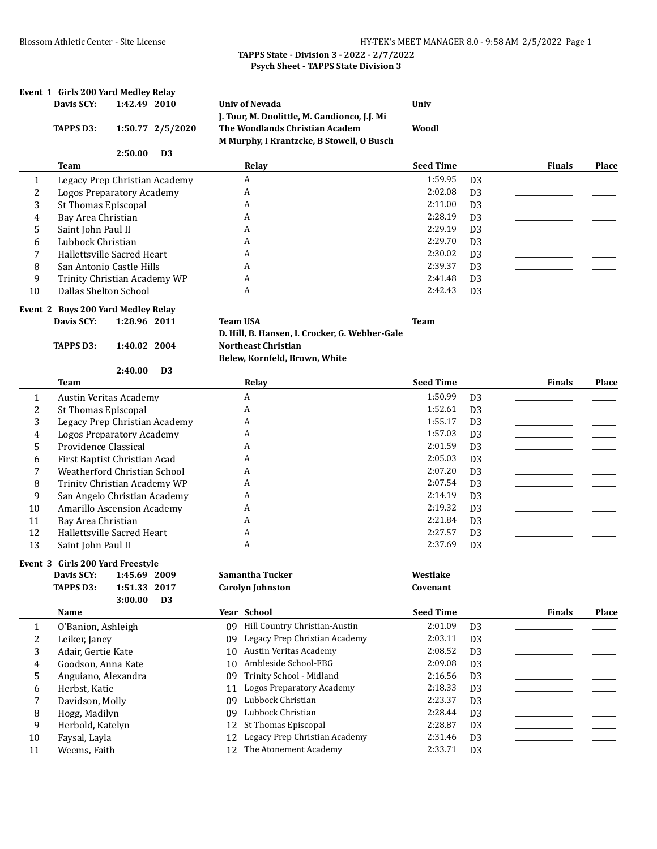|                  | Event 1 Girls 200 Yard Medley Relay                      |              |                  |    |                                                                                                                             |                  |                |               |              |
|------------------|----------------------------------------------------------|--------------|------------------|----|-----------------------------------------------------------------------------------------------------------------------------|------------------|----------------|---------------|--------------|
|                  | Davis SCY:                                               | 1:42.49 2010 |                  |    | <b>Univ of Nevada</b>                                                                                                       | Univ             |                |               |              |
|                  | <b>TAPPS D3:</b>                                         |              | 1:50.77 2/5/2020 |    | J. Tour, M. Doolittle, M. Gandionco, J.J. Mi<br>The Woodlands Christian Academ<br>M Murphy, I Krantzcke, B Stowell, O Busch | Woodl            |                |               |              |
|                  |                                                          | 2:50.00      | D <sub>3</sub>   |    |                                                                                                                             |                  |                |               |              |
|                  | Team                                                     |              |                  |    | Relay                                                                                                                       | <b>Seed Time</b> |                | <b>Finals</b> | <b>Place</b> |
| 1                | Legacy Prep Christian Academy                            |              |                  |    | A                                                                                                                           | 1:59.95          | D <sub>3</sub> |               |              |
| $\overline{c}$   | <b>Logos Preparatory Academy</b>                         |              |                  |    | A                                                                                                                           | 2:02.08          | D <sub>3</sub> |               |              |
| 3                | St Thomas Episcopal                                      |              |                  |    | A                                                                                                                           | 2:11.00          | D <sub>3</sub> |               |              |
| 4                | Bay Area Christian                                       |              |                  |    | A                                                                                                                           | 2:28.19          | D <sub>3</sub> |               |              |
| 5                | Saint John Paul II                                       |              |                  |    | A                                                                                                                           | 2:29.19          | D <sub>3</sub> |               |              |
| 6                | Lubbock Christian                                        |              |                  |    | A                                                                                                                           | 2:29.70          | D <sub>3</sub> |               |              |
| 7                | Hallettsville Sacred Heart                               |              |                  |    | A                                                                                                                           | 2:30.02          | D <sub>3</sub> |               |              |
| 8                | San Antonio Castle Hills                                 |              |                  |    | A                                                                                                                           | 2:39.37          | D <sub>3</sub> |               |              |
| 9                | Trinity Christian Academy WP                             |              |                  |    | A                                                                                                                           | 2:41.48          | D <sub>3</sub> |               |              |
| 10               | Dallas Shelton School                                    |              |                  |    | A                                                                                                                           | 2:42.43          | D <sub>3</sub> |               |              |
|                  |                                                          |              |                  |    |                                                                                                                             |                  |                |               |              |
|                  | Event 2 Boys 200 Yard Medley Relay                       |              |                  |    |                                                                                                                             |                  |                |               |              |
|                  | Davis SCY:                                               | 1:28.96 2011 |                  |    | <b>Team USA</b>                                                                                                             | <b>Team</b>      |                |               |              |
|                  |                                                          |              |                  |    | D. Hill, B. Hansen, I. Crocker, G. Webber-Gale<br><b>Northeast Christian</b>                                                |                  |                |               |              |
|                  | <b>TAPPS D3:</b>                                         | 1:40.02 2004 |                  |    |                                                                                                                             |                  |                |               |              |
|                  |                                                          | 2:40.00      | D <sub>3</sub>   |    | Belew, Kornfeld, Brown, White                                                                                               |                  |                |               |              |
|                  | <b>Team</b>                                              |              |                  |    | Relay                                                                                                                       | <b>Seed Time</b> |                | <b>Finals</b> | Place        |
|                  |                                                          |              |                  |    | $\mathbf{A}$                                                                                                                | 1:50.99          |                |               |              |
| $\mathbf{1}$     | Austin Veritas Academy                                   |              |                  |    | A                                                                                                                           | 1:52.61          | D <sub>3</sub> |               |              |
| 2                | <b>St Thomas Episcopal</b>                               |              |                  |    | A                                                                                                                           | 1:55.17          | D <sub>3</sub> |               |              |
| 3                | Legacy Prep Christian Academy                            |              |                  |    | A                                                                                                                           | 1:57.03          | D <sub>3</sub> |               |              |
| 4                | <b>Logos Preparatory Academy</b><br>Providence Classical |              |                  |    | A                                                                                                                           | 2:01.59          | D <sub>3</sub> |               |              |
| 5                |                                                          |              |                  |    | A                                                                                                                           | 2:05.03          | D <sub>3</sub> |               |              |
| 6                | First Baptist Christian Acad                             |              |                  |    | A                                                                                                                           | 2:07.20          | D <sub>3</sub> |               |              |
| 7                | Weatherford Christian School                             |              |                  |    | A                                                                                                                           | 2:07.54          | D <sub>3</sub> |               |              |
| 8                | Trinity Christian Academy WP                             |              |                  |    |                                                                                                                             | 2:14.19          | D <sub>3</sub> |               |              |
| 9                | San Angelo Christian Academy                             |              |                  |    | A                                                                                                                           |                  | D <sub>3</sub> |               |              |
| 10               | Amarillo Ascension Academy                               |              |                  |    | A                                                                                                                           | 2:19.32          | D <sub>3</sub> |               |              |
| 11               | Bay Area Christian                                       |              |                  |    | A                                                                                                                           | 2:21.84          | D <sub>3</sub> |               |              |
| 12               | Hallettsville Sacred Heart                               |              |                  |    | A                                                                                                                           | 2:27.57          | D <sub>3</sub> |               |              |
| 13               | Saint John Paul II                                       |              |                  |    | A                                                                                                                           | 2:37.69          | D <sub>3</sub> |               |              |
|                  | Event 3 Girls 200 Yard Freestyle                         |              |                  |    |                                                                                                                             |                  |                |               |              |
|                  | Davis SCY:                                               | 1:45.69 2009 |                  |    | Samantha Tucker                                                                                                             | Westlake         |                |               |              |
|                  | <b>TAPPS D3:</b>                                         | 1:51.33 2017 |                  |    | <b>Carolyn Johnston</b>                                                                                                     | Covenant         |                |               |              |
|                  |                                                          | 3:00.00      | D <sub>3</sub>   |    |                                                                                                                             |                  |                |               |              |
|                  | Name                                                     |              |                  |    | Year School                                                                                                                 | <b>Seed Time</b> |                | <b>Finals</b> | Place        |
| $\mathbf{1}$     | O'Banion, Ashleigh                                       |              |                  |    | 09 Hill Country Christian-Austin                                                                                            | 2:01.09          | D <sub>3</sub> |               |              |
| $\boldsymbol{2}$ | Leiker, Janey                                            |              |                  | 09 | Legacy Prep Christian Academy                                                                                               | 2:03.11          | D <sub>3</sub> |               |              |
| 3                | Adair, Gertie Kate                                       |              |                  | 10 | <b>Austin Veritas Academy</b>                                                                                               | 2:08.52          | D <sub>3</sub> |               |              |
| 4                | Goodson, Anna Kate                                       |              |                  | 10 | Ambleside School-FBG                                                                                                        | 2:09.08          | D <sub>3</sub> |               |              |
| 5                | Anguiano, Alexandra                                      |              |                  | 09 | Trinity School - Midland                                                                                                    | 2:16.56          | D <sub>3</sub> |               |              |
| 6                | Herbst, Katie                                            |              |                  | 11 | <b>Logos Preparatory Academy</b>                                                                                            | 2:18.33          | D <sub>3</sub> |               |              |
| 7                | Davidson, Molly                                          |              |                  | 09 | Lubbock Christian                                                                                                           | 2:23.37          | D <sub>3</sub> |               |              |
| 8                | Hogg, Madilyn                                            |              |                  | 09 | Lubbock Christian                                                                                                           | 2:28.44          | D <sub>3</sub> |               |              |
| 9                | Herbold, Katelyn                                         |              |                  | 12 | St Thomas Episcopal                                                                                                         | 2:28.87          | D <sub>3</sub> |               |              |
| 10               | Faysal, Layla                                            |              |                  | 12 | Legacy Prep Christian Academy                                                                                               | 2:31.46          | D <sub>3</sub> |               |              |
| 11               | Weems, Faith                                             |              |                  | 12 | The Atonement Academy                                                                                                       | 2:33.71          | D <sub>3</sub> |               |              |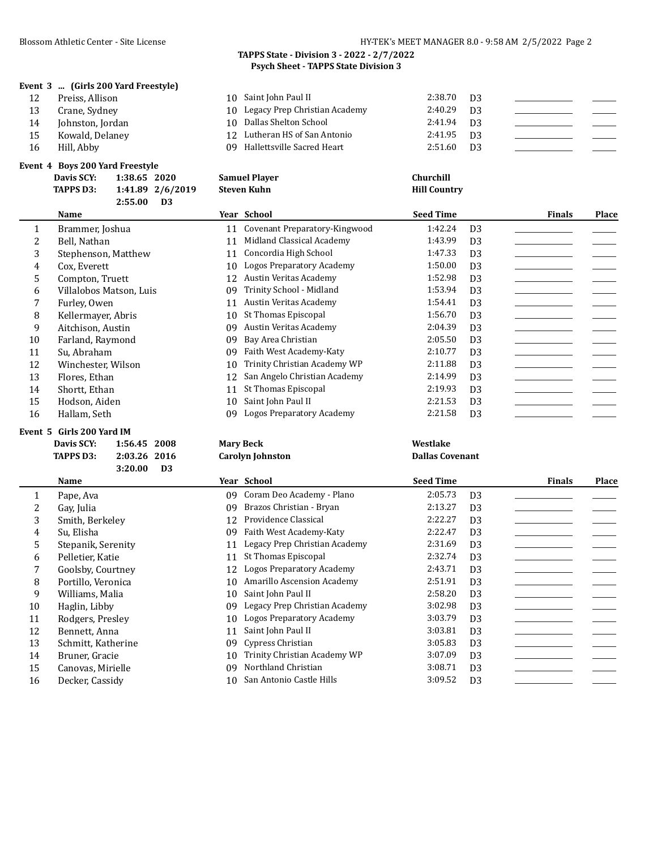#### **Event 3 ... (Girls 200 Yard Freestyle)**

| 1 Z | Preiss, Allison |  |
|-----|-----------------|--|
|     |                 |  |

- 13 Crane, Sydney
- 
- 
- 

#### **Event 4 Boys 200 Yard Freestyle**

**2:55.00 D3**

| 12 | Preiss, Allison  | 10 Saint John Paul II            | 2:38.70 | D3   |  |
|----|------------------|----------------------------------|---------|------|--|
| 13 | Crane, Sydney    | 10 Legacy Prep Christian Academy | 2:40.29 | D3   |  |
| 14 | Johnston, Jordan | 10 Dallas Shelton School         | 2:41.94 | - D3 |  |
| 15 | Kowald, Delaney  | 12 Lutheran HS of San Antonio    | 2:41.95 | D3   |  |
| 16 | Hill, Abby       | 09 Hallettsville Sacred Heart    | 2:51.60 | D3   |  |

| <b>Davis SCY:</b> | 1:38.65 2020 |                  | <b>Samuel Player</b> | Churchill           |
|-------------------|--------------|------------------|----------------------|---------------------|
| <b>TAPPS D3:</b>  |              | 1:41.89 2/6/2019 | Steven Kuhn          | <b>Hill Country</b> |
|                   |              |                  |                      |                     |

|    | Name                    |    | Year School                   | <b>Seed Time</b> |                | <b>Finals</b> | Place |
|----|-------------------------|----|-------------------------------|------------------|----------------|---------------|-------|
|    | Brammer, Joshua         |    | Covenant Preparatory-Kingwood | 1:42.24          | D <sub>3</sub> |               |       |
|    | Bell, Nathan            |    | Midland Classical Academy     | 1:43.99          | D <sub>3</sub> |               |       |
| 3  | Stephenson, Matthew     |    | Concordia High School         | 1:47.33          | D <sub>3</sub> |               |       |
| 4  | Cox, Everett            | 10 | Logos Preparatory Academy     | 1:50.00          | D <sub>3</sub> |               |       |
| 5. | Compton, Truett         | 12 | Austin Veritas Academy        | 1:52.98          | D <sub>3</sub> |               |       |
| 6  | Villalobos Matson, Luis | 09 | Trinity School - Midland      | 1:53.94          | D <sub>3</sub> |               |       |
|    | Furley, Owen            | 11 | Austin Veritas Academy        | 1:54.41          | D <sub>3</sub> |               |       |
| 8  | Kellermayer, Abris      | 10 | St Thomas Episcopal           | 1:56.70          | D <sub>3</sub> |               |       |
| 9  | Aitchison, Austin       | 09 | Austin Veritas Academy        | 2:04.39          | D <sub>3</sub> |               |       |
| 10 | Farland, Raymond        | 09 | Bay Area Christian            | 2:05.50          | D <sub>3</sub> |               |       |
| 11 | Su, Abraham             | 09 | Faith West Academy-Katy       | 2:10.77          | D <sub>3</sub> |               |       |
| 12 | Winchester, Wilson      | 10 | Trinity Christian Academy WP  | 2:11.88          | D <sub>3</sub> |               |       |
| 13 | Flores, Ethan           | 12 | San Angelo Christian Academy  | 2:14.99          | D <sub>3</sub> |               |       |
| 14 | Shortt, Ethan           |    | St Thomas Episcopal           | 2:19.93          | D <sub>3</sub> |               |       |
| 15 | Hodson, Aiden           | 10 | Saint John Paul II            | 2:21.53          | D <sub>3</sub> |               |       |
| 16 | Hallam, Seth            | 09 | Logos Preparatory Academy     | 2:21.58          | D <sub>3</sub> |               |       |

#### **Event 5 Girls 200 Yard IM**

| Davis SCY: | 1:56.45 2008 |  |
|------------|--------------|--|
| TAPPS D3:  | 2:03.26 2016 |  |
|            |              |  |

| TAPPS D3: | 2:03.26 2016 |    |
|-----------|--------------|----|
|           | 3:20.00      | ÐЗ |

|    | <b>Name</b>        |     | Year School                      | <b>Seed Time</b> |                | <b>Finals</b> | Place |
|----|--------------------|-----|----------------------------------|------------------|----------------|---------------|-------|
|    | Pape, Ava          | 09. | Coram Deo Academy - Plano        | 2:05.73          | D <sub>3</sub> |               |       |
|    | Gay, Julia         | 09  | Brazos Christian - Bryan         | 2:13.27          | D <sub>3</sub> |               |       |
| 3  | Smith, Berkelev    | 12  | Providence Classical             | 2:22.27          | D <sub>3</sub> |               |       |
| 4  | Su, Elisha         | 09  | Faith West Academy-Katy          | 2:22.47          | D <sub>3</sub> |               |       |
| 5. | Stepanik, Serenity |     | Legacy Prep Christian Academy    | 2:31.69          | D <sub>3</sub> |               |       |
| 6  | Pelletier, Katie   | 11  | St Thomas Episcopal              | 2:32.74          | D <sub>3</sub> |               |       |
|    | Goolsby, Courtney  | 12  | <b>Logos Preparatory Academy</b> | 2:43.71          | D <sub>3</sub> |               |       |
| 8  | Portillo, Veronica | 10  | Amarillo Ascension Academy       | 2:51.91          | D <sub>3</sub> |               |       |
| 9  | Williams, Malia    | 10  | Saint John Paul II               | 2:58.20          | D <sub>3</sub> |               |       |
| 10 | Haglin, Libby      | 09  | Legacy Prep Christian Academy    | 3:02.98          | D <sub>3</sub> |               |       |
| 11 | Rodgers, Presley   | 10  | Logos Preparatory Academy        | 3:03.79          | D <sub>3</sub> |               |       |
| 12 | Bennett, Anna      | 11  | Saint John Paul II               | 3:03.81          | D <sub>3</sub> |               |       |
| 13 | Schmitt, Katherine | 09  | Cypress Christian                | 3:05.83          | D <sub>3</sub> |               |       |
| 14 | Bruner, Gracie     | 10  | Trinity Christian Academy WP     | 3:07.09          | D <sub>3</sub> |               |       |
| 15 | Canovas. Mirielle  | 09  | Northland Christian              | 3:08.71          | D <sub>3</sub> |               |       |

**Davis SCY: 1:56.45 2008 Mary Beck Westlake TAPPS CAPPS D3: 2:03.26 2:03.26 2:03.26 2:03.26 2:03.26 2:03.26 2:03.26 2:03.26 2:03.26 2:03.26 2:03.26 2:03.26 2:03.26 2:03.26 2:03.26 2:03.26 2:03.26 2:03.26 2:03.26 2:03.26 2:0** 

16 Decker, Cassidy 10 San Antonio Castle Hills 3:09.52 D3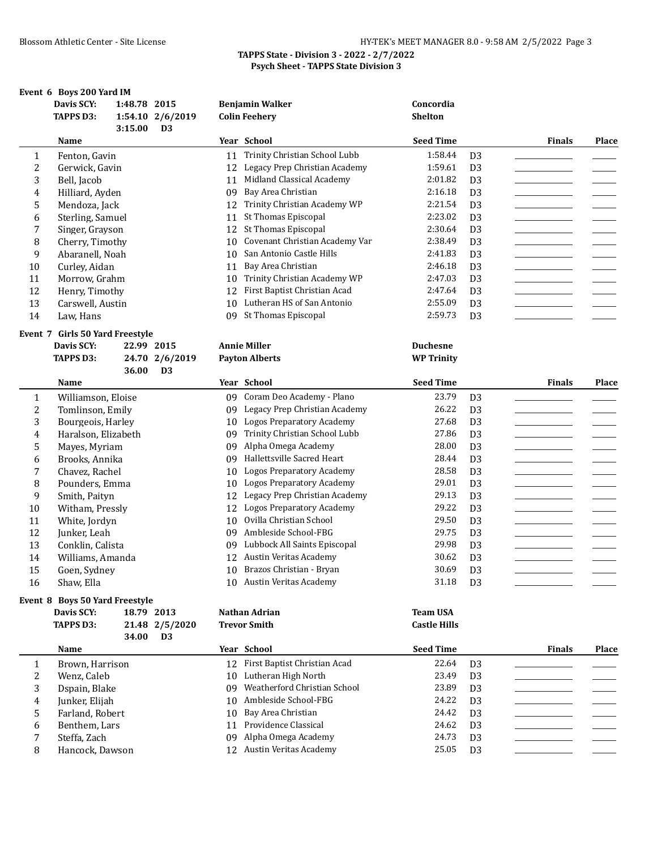|        | Event 6 Boys 200 Yard IM<br>Davis SCY:<br><b>TAPPS D3:</b> | 1:48.78 2015<br>3:15.00 | 1:54.10 2/6/2019<br>D <sub>3</sub> |          | <b>Benjamin Walker</b><br><b>Colin Feehery</b> | Concordia<br><b>Shelton</b>          |                                  |               |              |
|--------|------------------------------------------------------------|-------------------------|------------------------------------|----------|------------------------------------------------|--------------------------------------|----------------------------------|---------------|--------------|
|        | Name                                                       |                         |                                    |          | Year School                                    | <b>Seed Time</b>                     |                                  | <b>Finals</b> | <b>Place</b> |
| 1      | Fenton, Gavin                                              |                         |                                    | 11       | Trinity Christian School Lubb                  | 1:58.44                              | D <sub>3</sub>                   |               |              |
| 2      | Gerwick, Gavin                                             |                         |                                    | 12       | Legacy Prep Christian Academy                  | 1:59.61                              | D <sub>3</sub>                   |               |              |
| 3      | Bell, Jacob                                                |                         |                                    | 11       | Midland Classical Academy                      | 2:01.82                              | D <sub>3</sub>                   |               |              |
| 4      | Hilliard, Ayden                                            |                         |                                    | 09       | Bay Area Christian                             | 2:16.18                              | D <sub>3</sub>                   |               |              |
| 5      | Mendoza, Jack                                              |                         |                                    | 12       | Trinity Christian Academy WP                   | 2:21.54                              | D <sub>3</sub>                   |               |              |
| 6      | Sterling, Samuel                                           |                         |                                    | 11       | St Thomas Episcopal                            | 2:23.02                              | D <sub>3</sub>                   |               |              |
| 7      | Singer, Grayson                                            |                         |                                    | 12       | St Thomas Episcopal                            | 2:30.64                              | D <sub>3</sub>                   |               |              |
| 8      | Cherry, Timothy                                            |                         |                                    | 10       | Covenant Christian Academy Var                 | 2:38.49                              | D <sub>3</sub>                   |               |              |
| 9      | Abaranell, Noah                                            |                         |                                    | 10       | San Antonio Castle Hills                       | 2:41.83                              | D <sub>3</sub>                   |               |              |
| 10     | Curley, Aidan                                              |                         |                                    | 11       | Bay Area Christian                             | 2:46.18                              | D <sub>3</sub>                   |               |              |
| 11     | Morrow, Grahm                                              |                         |                                    | 10       | Trinity Christian Academy WP                   | 2:47.03                              | D <sub>3</sub>                   |               |              |
| 12     | Henry, Timothy                                             |                         |                                    | 12       | First Baptist Christian Acad                   | 2:47.64                              | D <sub>3</sub>                   |               |              |
| 13     | Carswell, Austin                                           |                         |                                    | 10       | Lutheran HS of San Antonio                     | 2:55.09                              | D <sub>3</sub>                   |               |              |
| 14     | Law, Hans                                                  |                         |                                    | 09.      | St Thomas Episcopal                            | 2:59.73                              | D <sub>3</sub>                   |               |              |
|        | Event 7 Girls 50 Yard Freestyle                            |                         |                                    |          |                                                |                                      |                                  |               |              |
|        | Davis SCY:<br><b>TAPPS D3:</b>                             |                         | 22.99 2015                         |          | <b>Annie Miller</b><br><b>Payton Alberts</b>   | <b>Duchesne</b><br><b>WP Trinity</b> |                                  |               |              |
|        |                                                            | 36.00                   | 24.70 2/6/2019<br>D <sub>3</sub>   |          |                                                |                                      |                                  |               |              |
|        | Name                                                       |                         |                                    |          | Year School                                    | <b>Seed Time</b>                     |                                  | <b>Finals</b> | Place        |
|        |                                                            |                         |                                    |          | 09 Coram Deo Academy - Plano                   | 23.79                                |                                  |               |              |
| 1      | Williamson, Eloise                                         |                         |                                    | 09       | Legacy Prep Christian Academy                  | 26.22                                | D <sub>3</sub>                   |               |              |
| 2      | Tomlinson, Emily                                           |                         |                                    |          | <b>Logos Preparatory Academy</b>               | 27.68                                | D <sub>3</sub>                   |               |              |
| 3<br>4 | Bourgeois, Harley<br>Haralson, Elizabeth                   |                         |                                    | 10<br>09 | Trinity Christian School Lubb                  | 27.86                                | D <sub>3</sub><br>D <sub>3</sub> |               |              |
| 5      | Mayes, Myriam                                              |                         |                                    | 09       | Alpha Omega Academy                            | 28.00                                | D <sub>3</sub>                   |               |              |
| 6      | Brooks, Annika                                             |                         |                                    | 09       | Hallettsville Sacred Heart                     | 28.44                                | D <sub>3</sub>                   |               |              |
| 7      | Chavez, Rachel                                             |                         |                                    | 10       | <b>Logos Preparatory Academy</b>               | 28.58                                | D <sub>3</sub>                   |               |              |
| 8      | Pounders, Emma                                             |                         |                                    | 10       | <b>Logos Preparatory Academy</b>               | 29.01                                | D <sub>3</sub>                   |               |              |
| 9      | Smith, Paityn                                              |                         |                                    | 12       | Legacy Prep Christian Academy                  | 29.13                                | D <sub>3</sub>                   |               |              |
| 10     | Witham, Pressly                                            |                         |                                    | 12       | <b>Logos Preparatory Academy</b>               | 29.22                                | D <sub>3</sub>                   |               |              |
| 11     | White, Jordyn                                              |                         |                                    | 10       | Ovilla Christian School                        | 29.50                                | D <sub>3</sub>                   |               |              |
| 12     | Junker, Leah                                               |                         |                                    | 09.      | Ambleside School-FBG                           | 29.75                                | D <sub>3</sub>                   |               |              |
| 13     | Conklin, Calista                                           |                         |                                    | 09.      | Lubbock All Saints Episcopal                   | 29.98                                | D <sub>3</sub>                   |               |              |
| 14     | Williams, Amanda                                           |                         |                                    |          | 12 Austin Veritas Academy                      | 30.62                                | D <sub>3</sub>                   |               |              |
| 15     | Goen, Sydney                                               |                         |                                    |          | 10 Brazos Christian - Bryan                    | 30.69                                | D <sub>3</sub>                   |               |              |
| 16     | Shaw, Ella                                                 |                         |                                    |          | 10 Austin Veritas Academy                      | 31.18                                | D <sub>3</sub>                   |               |              |
|        | Event 8 Boys 50 Yard Freestyle                             |                         |                                    |          |                                                |                                      |                                  |               |              |
|        | Davis SCY:                                                 |                         | 18.79 2013                         |          | Nathan Adrian                                  | <b>Team USA</b>                      |                                  |               |              |
|        | <b>TAPPS D3:</b>                                           |                         | 21.48 2/5/2020                     |          | <b>Trevor Smith</b>                            | <b>Castle Hills</b>                  |                                  |               |              |
|        |                                                            | 34.00                   | D <sub>3</sub>                     |          |                                                |                                      |                                  |               |              |
|        | Name                                                       |                         |                                    |          | Year School                                    | <b>Seed Time</b>                     |                                  | <b>Finals</b> | Place        |
| 1      | Brown, Harrison                                            |                         |                                    |          | 12 First Baptist Christian Acad                | 22.64                                | D <sub>3</sub>                   |               |              |
| 2      | Wenz, Caleb                                                |                         |                                    | 10       | Lutheran High North                            | 23.49                                | D <sub>3</sub>                   |               |              |
| 3      | Dspain, Blake                                              |                         |                                    | 09       | Weatherford Christian School                   | 23.89                                | D <sub>3</sub>                   |               |              |
| 4      | Junker, Elijah                                             |                         |                                    | 10       | Ambleside School-FBG                           | 24.22                                | D <sub>3</sub>                   |               |              |
| 5      | Farland, Robert                                            |                         |                                    | 10       | Bay Area Christian<br>Providence Classical     | 24.42                                | D <sub>3</sub>                   |               |              |
| 6      | Benthem, Lars                                              |                         |                                    | 11       | Alpha Omega Academy                            | 24.62<br>24.73                       | D <sub>3</sub>                   |               |              |
| 7<br>8 | Steffa, Zach<br>Hancock, Dawson                            |                         |                                    | 09       | 12 Austin Veritas Academy                      | 25.05                                | D <sub>3</sub><br>D <sub>3</sub> |               |              |
|        |                                                            |                         |                                    |          |                                                |                                      |                                  |               |              |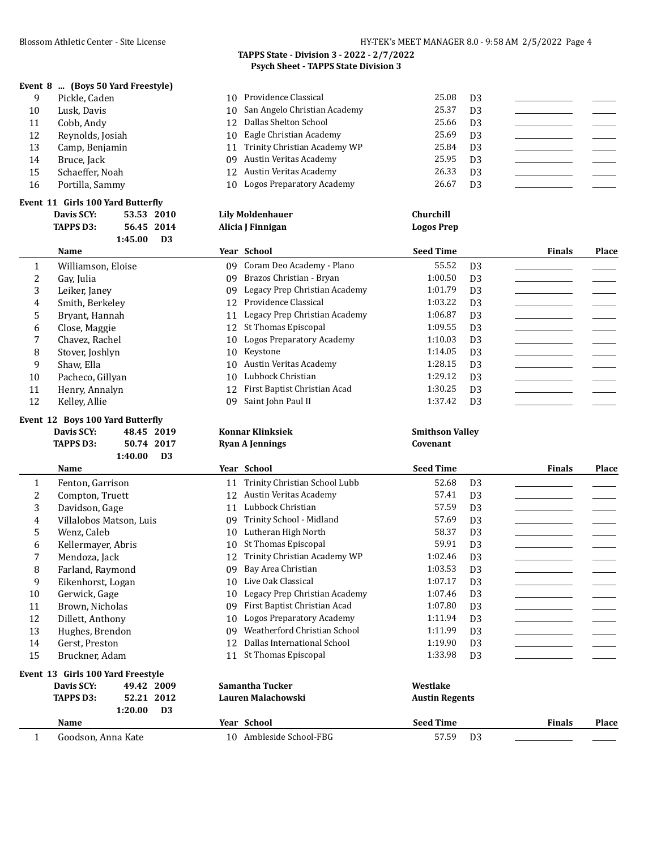# **Event 8 ... (Boys 50 Yard Freestyle)**

|    | ent 8 … Tboys 50 rafu Freestyle) |                                 |       |                |  |
|----|----------------------------------|---------------------------------|-------|----------------|--|
|    | Pickle, Caden                    | 10 Providence Classical         | 25.08 | D3             |  |
| 10 | Lusk. Davis                      | 10 San Angelo Christian Academy | 25.37 | D <sub>3</sub> |  |
| 11 | Cobb. Andy                       | 12 Dallas Shelton School        | 25.66 | D3             |  |
| 12 | Reynolds, Josiah                 | 10 Eagle Christian Academy      | 25.69 | D3             |  |
| 13 | Camp, Benjamin                   | 11 Trinity Christian Academy WP | 25.84 | D <sub>3</sub> |  |
| 14 | Bruce, Jack                      | 09 Austin Veritas Academy       | 25.95 | D <sub>3</sub> |  |

10 Logos Preparatory Academy 26.67 D3

| 16 | Portilla, Sammy |  |
|----|-----------------|--|
|    |                 |  |

### **Event 11 Girls 100 Yard Butterfly**

|                       | <b>TAPPS D3:</b>   | 56.45 2014                |     | Alicia J Finnigan                | <b>Logos Prep</b> |                |               |       |
|-----------------------|--------------------|---------------------------|-----|----------------------------------|-------------------|----------------|---------------|-------|
|                       |                    | 1:45.00<br>D <sub>3</sub> |     |                                  |                   |                |               |       |
|                       | Name               |                           |     | Year School                      | <b>Seed Time</b>  |                | <b>Finals</b> | Place |
| 1                     | Williamson, Eloise |                           | 09. | Coram Deo Academy - Plano        | 55.52             | D <sub>3</sub> |               |       |
| $\mathbf{2}^{\prime}$ | Gay, Julia         |                           | 09  | Brazos Christian - Bryan         | 1:00.50           | D <sub>3</sub> |               |       |
| 3                     | Leiker, Janey      |                           | 09  | Legacy Prep Christian Academy    | 1:01.79           | D <sub>3</sub> |               |       |
| 4                     | Smith, Berkelev    |                           | 12  | Providence Classical             | 1:03.22           | D <sub>3</sub> |               |       |
| 5.                    | Bryant, Hannah     |                           | 11  | Legacy Prep Christian Academy    | 1:06.87           | D <sub>3</sub> |               |       |
| 6                     | Close, Maggie      |                           | 12  | St Thomas Episcopal              | 1:09.55           | D <sub>3</sub> |               |       |
| 7                     | Chavez, Rachel     |                           | 10  | <b>Logos Preparatory Academy</b> | 1:10.03           | D <sub>3</sub> |               |       |
| 8                     | Stover, Joshlyn    |                           | 10  | Keystone                         | 1:14.05           | D <sub>3</sub> |               |       |
| 9                     | Shaw, Ella         |                           | 10  | Austin Veritas Academy           | 1:28.15           | D <sub>3</sub> |               |       |
| 10                    | Pacheco, Gillyan   |                           | 10  | Lubbock Christian                | 1:29.12           | D <sub>3</sub> |               |       |
| 11                    | Henry, Annalyn     |                           | 12  | First Baptist Christian Acad     | 1:30.25           | D <sub>3</sub> |               |       |
| 12                    | Kelley, Allie      |                           | 09  | Saint John Paul II               | 1:37.42           | D <sub>3</sub> |               |       |

#### **Event 12 Boys 100 Yard Butterfly**

| EVELLE 12 DOVS TOO Tall Ducter Hy |              |  |
|-----------------------------------|--------------|--|
| Davis SCY:                        | 48.45 2019   |  |
| TAPPS D3:                         | 50.74 2017   |  |
|                                   | $1:40.00$ D3 |  |
| Namo                              |              |  |

|       | TO Austin veritas Academy       | $1:20.13$ 113  |  |
|-------|---------------------------------|----------------|--|
|       | 10 Lubbock Christian            | 1:29.12 $\Box$ |  |
|       | 12 First Baptist Christian Acad | $1:30.25$ D3   |  |
|       | 09 Saint John Paul II           | 1:37.42 D3     |  |
| - - - |                                 |                |  |

#### **Davis SCY: 48.45 2019 Konnar Klinksiek Smithson Valley Table 10.747.50.74 Ryan A Jennings Covenant**

|    | <b>Name</b>                       |    | Year School                   | <b>Seed Time</b>      |                | <b>Finals</b> | Place |
|----|-----------------------------------|----|-------------------------------|-----------------------|----------------|---------------|-------|
| 1  | Fenton, Garrison                  | 11 | Trinity Christian School Lubb | 52.68                 | D <sub>3</sub> |               |       |
| 2  | Compton, Truett                   | 12 | Austin Veritas Academy        | 57.41                 | D <sub>3</sub> |               |       |
| 3  | Davidson, Gage                    | 11 | Lubbock Christian             | 57.59                 | D <sub>3</sub> |               |       |
| 4  | Villalobos Matson, Luis           | 09 | Trinity School - Midland      | 57.69                 | D <sub>3</sub> |               |       |
| 5  | Wenz, Caleb                       | 10 | Lutheran High North           | 58.37                 | D <sub>3</sub> |               |       |
| 6  | Kellermayer, Abris                | 10 | St Thomas Episcopal           | 59.91                 | D <sub>3</sub> |               |       |
| 7  | Mendoza, Jack                     | 12 | Trinity Christian Academy WP  | 1:02.46               | D <sub>3</sub> |               |       |
| 8  | Farland, Raymond                  | 09 | Bay Area Christian            | 1:03.53               | D <sub>3</sub> |               |       |
| 9  | Eikenhorst, Logan                 | 10 | Live Oak Classical            | 1:07.17               | D <sub>3</sub> |               |       |
| 10 | Gerwick, Gage                     | 10 | Legacy Prep Christian Academy | 1:07.46               | D <sub>3</sub> |               |       |
| 11 | Brown, Nicholas                   | 09 | First Baptist Christian Acad  | 1:07.80               | D <sub>3</sub> |               |       |
| 12 | Dillett, Anthony                  | 10 | Logos Preparatory Academy     | 1:11.94               | D <sub>3</sub> |               |       |
| 13 | Hughes, Brendon                   | 09 | Weatherford Christian School  | 1:11.99               | D <sub>3</sub> |               |       |
| 14 | Gerst, Preston                    | 12 | Dallas International School   | 1:19.90               | D <sub>3</sub> |               |       |
| 15 | Bruckner, Adam                    | 11 | St Thomas Episcopal           | 1:33.98               | D <sub>3</sub> |               |       |
|    | Event 13 Girls 100 Yard Freestyle |    |                               |                       |                |               |       |
|    | Davis SCY:<br>49.42 2009          |    | Samantha Tucker               | Westlake              |                |               |       |
|    | 52.21 2012<br><b>TAPPS D3:</b>    |    | Lauren Malachowski            | <b>Austin Regents</b> |                |               |       |
|    | D <sub>3</sub><br>1:20.00         |    |                               |                       |                |               |       |
|    | Name                              |    | Year School                   | <b>Seed Time</b>      |                | <b>Finals</b> | Place |

1 Goodson, Anna Kate 10 Ambleside School-FBG 57.59 D3

#### **TAPPS State - Division 3 - 2022 - 2/7/2022 Psych Sheet - TAPPS State Division 3**

15 Schaeffer, Noah 12 Austin Veritas Academy 26.33 D3

**Davis SCY: 53.53 2010 Lily Moldenhauer Churchill**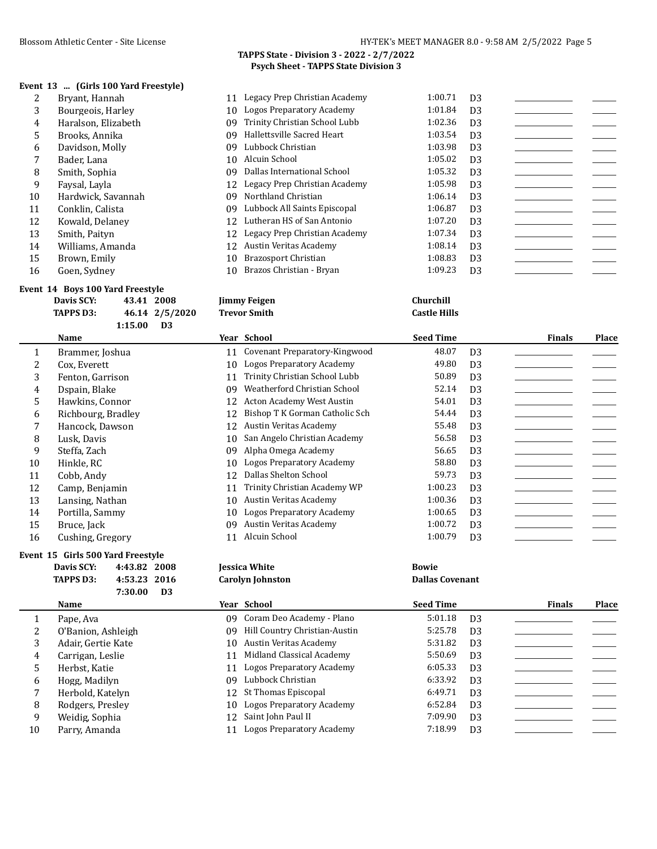#### **Event 13 ... (Girls 100 Yard Freestyle)**

|    | Bryant, Hannah      |     | 11 Legacy Prep Christian Academy | 1:00.71 | D <sub>3</sub> |  |
|----|---------------------|-----|----------------------------------|---------|----------------|--|
| 3  | Bourgeois, Harley   |     | 10 Logos Preparatory Academy     | 1:01.84 | D <sub>3</sub> |  |
| 4  | Haralson, Elizabeth | 09. | Trinity Christian School Lubb    | 1:02.36 | D <sub>3</sub> |  |
| 5. | Brooks, Annika      | 09  | Hallettsville Sacred Heart       | 1:03.54 | D <sub>3</sub> |  |
| 6  | Davidson, Molly     | 09. | Lubbock Christian                | 1:03.98 | D <sub>3</sub> |  |
|    | Bader, Lana         | 10  | Alcuin School                    | 1:05.02 | D <sub>3</sub> |  |
| 8  | Smith, Sophia       | 09. | Dallas International School      | 1:05.32 | D <sub>3</sub> |  |
| 9  | Faysal, Layla       |     | 12 Legacy Prep Christian Academy | 1:05.98 | D <sub>3</sub> |  |
| 10 | Hardwick, Savannah  | 09. | Northland Christian              | 1:06.14 | D <sub>3</sub> |  |
| 11 | Conklin, Calista    | 09. | Lubbock All Saints Episcopal     | 1:06.87 | D <sub>3</sub> |  |
| 12 | Kowald, Delanev     |     | 12 Lutheran HS of San Antonio    | 1:07.20 | D <sub>3</sub> |  |
| 13 | Smith, Paityn       |     | 12 Legacy Prep Christian Academy | 1:07.34 | D <sub>3</sub> |  |
| 14 | Williams, Amanda    | 12  | Austin Veritas Academy           | 1:08.14 | D <sub>3</sub> |  |
| 15 | Brown, Emily        | 10  | Brazosport Christian             | 1:08.83 | D <sub>3</sub> |  |
| 16 | Goen, Sydney        |     | 10 Brazos Christian - Bryan      | 1:09.23 | D <sub>3</sub> |  |

#### **Event 14 Boys 100 Yard Freestyle**

| Davis SCY: | 43.41 2008     | <b>Jimmy Feigen</b> | Churchill         |
|------------|----------------|---------------------|-------------------|
| TAPPS D3:  | 46.14 2/5/2020 | Trevor Smith        | <b>Castle Hil</b> |
|            | 1:15.00<br>D3  |                     |                   |

|    | Name               |    | Year School                      | <b>Seed Time</b> |                | <b>Finals</b> | Place |
|----|--------------------|----|----------------------------------|------------------|----------------|---------------|-------|
| 1  | Brammer, Joshua    | 11 | Covenant Preparatory-Kingwood    | 48.07            | D <sub>3</sub> |               |       |
| 2  | Cox, Everett       | 10 | Logos Preparatory Academy        | 49.80            | D <sub>3</sub> |               |       |
| 3  | Fenton, Garrison   | 11 | Trinity Christian School Lubb    | 50.89            | D <sub>3</sub> |               |       |
| 4  | Dspain, Blake      | 09 | Weatherford Christian School     | 52.14            | D <sub>3</sub> |               |       |
| 5. | Hawkins, Connor    | 12 | <b>Acton Academy West Austin</b> | 54.01            | D <sub>3</sub> |               |       |
| 6  | Richbourg, Bradley | 12 | Bishop T K Gorman Catholic Sch   | 54.44            | D <sub>3</sub> |               |       |
|    | Hancock, Dawson    | 12 | Austin Veritas Academy           | 55.48            | D <sub>3</sub> |               |       |
| 8  | Lusk. Davis        | 10 | San Angelo Christian Academy     | 56.58            | D <sub>3</sub> |               |       |
| 9  | Steffa, Zach       | 09 | Alpha Omega Academy              | 56.65            | D <sub>3</sub> |               |       |
| 10 | Hinkle, RC         | 10 | Logos Preparatory Academy        | 58.80            | D <sub>3</sub> |               |       |
| 11 | Cobb, Andy         | 12 | Dallas Shelton School            | 59.73            | D <sub>3</sub> |               |       |
| 12 | Camp, Benjamin     | 11 | Trinity Christian Academy WP     | 1:00.23          | D <sub>3</sub> |               |       |
| 13 | Lansing, Nathan    | 10 | Austin Veritas Academy           | 1:00.36          | D <sub>3</sub> |               |       |
| 14 | Portilla, Sammy    | 10 | Logos Preparatory Academy        | 1:00.65          | D <sub>3</sub> |               |       |
| 15 | Bruce, Jack        | 09 | Austin Veritas Academy           | 1:00.72          | D <sub>3</sub> |               |       |
| 16 | Cushing, Gregory   | 11 | Alcuin School                    | 1:00.79          | D <sub>3</sub> |               |       |

#### **Event 15 Girls 500 Yard Freestyle**

| Davis SCY: | 4:43.82 2008 |    | <b>Iessica White</b>    | <b>Bowie</b>  |
|------------|--------------|----|-------------------------|---------------|
| TAPPS D3:  | 4:53.23 2016 |    | <b>Carolyn Johnston</b> | <b>Dallas</b> |
|            | 7:30.00      | D3 |                         |               |

| Jessica Whit |  |
|--------------|--|
| Carolyn Joh  |  |

# **TAPPS D3: 4:53.23 2016 Carolyn Johnston Dallas Covenant**

**TAPPS D3: 46.14 2/5/2020 Trevor Smith Castle Hills**

|    | Name               |     | Year School                      | <b>Seed Time</b> |                | <b>Finals</b> | Place |
|----|--------------------|-----|----------------------------------|------------------|----------------|---------------|-------|
|    | Pape, Ava          | 09. | Coram Deo Academy - Plano        | 5:01.18          | D <sub>3</sub> |               |       |
| 2  | O'Banion, Ashleigh | 09  | Hill Country Christian-Austin    | 5:25.78          | D <sub>3</sub> |               |       |
| 3  | Adair, Gertie Kate | 10  | Austin Veritas Academy           | 5:31.82          | D <sub>3</sub> |               |       |
| 4  | Carrigan, Leslie   | 11  | Midland Classical Academy        | 5:50.69          | D <sub>3</sub> |               |       |
| 5. | Herbst, Katie      | 11  | <b>Logos Preparatory Academy</b> | 6:05.33          | D <sub>3</sub> |               |       |
| 6  | Hogg, Madilyn      | 09  | Lubbock Christian                | 6:33.92          | D <sub>3</sub> |               |       |
|    | Herbold, Katelyn   |     | 12 St Thomas Episcopal           | 6:49.71          | D <sub>3</sub> |               |       |
| 8  | Rodgers, Presley   | 10  | <b>Logos Preparatory Academy</b> | 6:52.84          | D <sub>3</sub> |               |       |
| 9  | Weidig, Sophia     |     | 12 Saint John Paul II            | 7:09.90          | D <sub>3</sub> |               |       |
| 10 | Parry, Amanda      |     | Logos Preparatory Academy        | 7:18.99          | D <sub>3</sub> |               |       |
|    |                    |     |                                  |                  |                |               |       |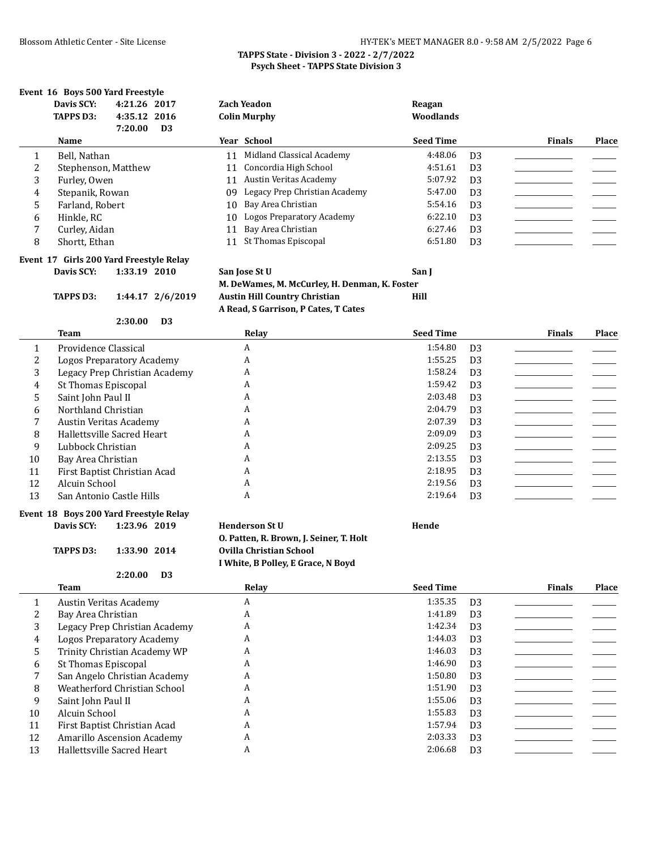# **Event 16 Boys 500 Yard Freestyle<br>Davis SCV:** 4:21.26 2017

|        | Davis SCY:<br><b>TAPPS D3:</b> | 4:21.26 2017<br>4:35.12 2016<br>7:20.00 | D <sub>3</sub> |    | <b>Zach Yeadon</b><br><b>Colin Murphy</b> | Reagan<br>Woodlands |                |               |       |
|--------|--------------------------------|-----------------------------------------|----------------|----|-------------------------------------------|---------------------|----------------|---------------|-------|
|        | Name                           |                                         |                |    | Year School                               | <b>Seed Time</b>    |                | <b>Finals</b> | Place |
|        | Bell, Nathan                   |                                         |                | 11 | Midland Classical Academy                 | 4:48.06             | D <sub>3</sub> |               |       |
| C<br>4 | Stephenson, Matthew            |                                         |                |    | 11 Concordia High School                  | 4:51.61             | D <sub>3</sub> |               |       |
| 3      | Furley, Owen                   |                                         |                | 11 | Austin Veritas Academy                    | 5:07.92             | D <sub>3</sub> |               |       |
| 4      | Stepanik, Rowan                |                                         |                | 09 | Legacy Prep Christian Academy             | 5:47.00             | D <sub>3</sub> |               |       |
| 5      | Farland, Robert                |                                         |                | 10 | Bay Area Christian                        | 5:54.16             | D <sub>3</sub> |               |       |
| 6      | Hinkle, RC                     |                                         |                | 10 | Logos Preparatory Academy                 | 6:22.10             | D <sub>3</sub> |               |       |
| 7      | Curley, Aidan                  |                                         |                | 11 | Bay Area Christian                        | 6:27.46             | D <sub>3</sub> |               |       |
| 8      | Shortt, Ethan                  |                                         |                | 11 | St Thomas Episcopal                       | 6:51.80             | D <sub>3</sub> |               |       |

### **Event 17 Girls 200 Yard Freestyle Relay**

**2:30.00 D3**

**Davis SCY: 1:33.19 2010 San Jose St U San J M. DeWames, M. McCurley, H. Denman, K. Foster TAPPS D3: 1:44.17 2/6/2019 Austin Hill Country Christian Hill A Read, S Garrison, P Cates, T Cates**

|    | <b>Team</b>                   | Relay | <b>Seed Time</b>          | <b>Finals</b> | Place |
|----|-------------------------------|-------|---------------------------|---------------|-------|
|    | Providence Classical          | A     | 1:54.80<br>D <sub>3</sub> |               |       |
|    | Logos Preparatory Academy     | A     | 1:55.25<br>D <sub>3</sub> |               |       |
| 3  | Legacy Prep Christian Academy | A     | 1:58.24<br>D <sub>3</sub> |               |       |
| 4  | St Thomas Episcopal           | A     | 1:59.42<br>D <sub>3</sub> |               |       |
| 5  | Saint John Paul II            | A     | 2:03.48<br>D <sub>3</sub> |               |       |
| 6  | Northland Christian           | A     | 2:04.79<br>D <sub>3</sub> |               |       |
|    | Austin Veritas Academy        | A     | 2:07.39<br>D <sub>3</sub> |               |       |
| 8  | Hallettsville Sacred Heart    | A     | 2:09.09<br>D <sub>3</sub> |               |       |
| 9  | Lubbock Christian             | A     | 2:09.25<br>D <sub>3</sub> |               |       |
| 10 | Bay Area Christian            | A     | 2:13.55<br>D <sub>3</sub> |               |       |
| 11 | First Baptist Christian Acad  | A     | 2:18.95<br>D <sub>3</sub> |               |       |
| 12 | Alcuin School                 | A     | 2:19.56<br>D <sub>3</sub> |               |       |
| 13 | San Antonio Castle Hills      | A     | 2:19.64<br>D <sub>3</sub> |               |       |

# **Event 18 Boys 200 Yard Freestyle Relay**

**2:20.00 D3**

**Davis SCY: 1:23.96 2019 Henderson St U Hende O. Patten, R. Brown, J. Seiner, T. Holt TAPPS D3: 1:33.90 2014 Ovilla Christian School I White, B Polley, E Grace, N Boyd**

|    | <b>Team</b>                   | Relay | <b>Seed Time</b> | <b>Finals</b>  | Place |
|----|-------------------------------|-------|------------------|----------------|-------|
|    | Austin Veritas Academy        | A     | 1:35.35          | D <sub>3</sub> |       |
|    | Bay Area Christian            | A     | 1:41.89          | D <sub>3</sub> |       |
| 3  | Legacy Prep Christian Academy | A     | 1:42.34          | D <sub>3</sub> |       |
| 4  | Logos Preparatory Academy     | A     | 1:44.03          | D <sub>3</sub> |       |
| 5. | Trinity Christian Academy WP  | A     | 1:46.03          | D <sub>3</sub> |       |
| 6  | St Thomas Episcopal           | A     | 1:46.90          | D <sub>3</sub> |       |
|    | San Angelo Christian Academy  | A     | 1:50.80          | D <sub>3</sub> |       |
| 8  | Weatherford Christian School  | A     | 1:51.90          | D <sub>3</sub> |       |
| 9  | Saint John Paul II            | A     | 1:55.06          | D <sub>3</sub> |       |
| 10 | Alcuin School                 | A     | 1:55.83          | D <sub>3</sub> |       |
| 11 | First Baptist Christian Acad  | A     | 1:57.94          | D <sub>3</sub> |       |
| 12 | Amarillo Ascension Academy    | A     | 2:03.33          | D <sub>3</sub> |       |
| 13 | Hallettsville Sacred Heart    | A     | 2:06.68          | D <sub>3</sub> |       |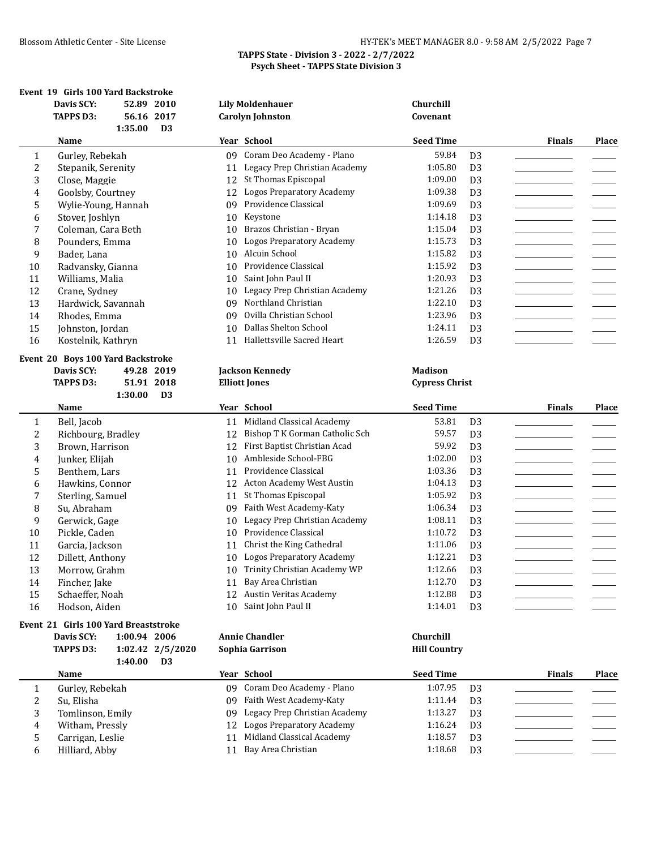|                | Event 19 Girls 100 Yard Backstroke   |              |                  |    |                                  |                       |                |                        |       |
|----------------|--------------------------------------|--------------|------------------|----|----------------------------------|-----------------------|----------------|------------------------|-------|
|                | Davis SCY:                           |              | 52.89 2010       |    | <b>Lily Moldenhauer</b>          | <b>Churchill</b>      |                |                        |       |
|                | <b>TAPPS D3:</b>                     |              | 56.16 2017       |    | <b>Carolyn Johnston</b>          | Covenant              |                |                        |       |
|                |                                      | 1:35.00      | D <sub>3</sub>   |    |                                  |                       |                |                        |       |
|                | Name                                 |              |                  |    | Year School                      | <b>Seed Time</b>      |                | <b>Finals</b>          | Place |
| 1              | Gurley, Rebekah                      |              |                  |    | 09 Coram Deo Academy - Plano     | 59.84                 | D <sub>3</sub> |                        |       |
| 2              | Stepanik, Serenity                   |              |                  | 11 | Legacy Prep Christian Academy    | 1:05.80               | D <sub>3</sub> |                        |       |
| 3              | Close, Maggie                        |              |                  | 12 | St Thomas Episcopal              | 1:09.00               | D <sub>3</sub> |                        |       |
| 4              | Goolsby, Courtney                    |              |                  | 12 | <b>Logos Preparatory Academy</b> | 1:09.38               | D <sub>3</sub> |                        |       |
| 5              | Wylie-Young, Hannah                  |              |                  | 09 | Providence Classical             | 1:09.69               | D <sub>3</sub> |                        |       |
| 6              | Stover, Joshlyn                      |              |                  | 10 | Keystone                         | 1:14.18               | D <sub>3</sub> |                        |       |
| 7              | Coleman, Cara Beth                   |              |                  | 10 | Brazos Christian - Bryan         | 1:15.04               | D <sub>3</sub> |                        |       |
| 8              | Pounders, Emma                       |              |                  | 10 | <b>Logos Preparatory Academy</b> | 1:15.73               | D <sub>3</sub> |                        |       |
| 9              | Bader, Lana                          |              |                  | 10 | Alcuin School                    | 1:15.82               | D <sub>3</sub> |                        |       |
| 10             | Radvansky, Gianna                    |              |                  | 10 | Providence Classical             | 1:15.92               | D <sub>3</sub> |                        |       |
| 11             | Williams, Malia                      |              |                  | 10 | Saint John Paul II               | 1:20.93               | D <sub>3</sub> |                        |       |
| 12             | Crane, Sydney                        |              |                  | 10 | Legacy Prep Christian Academy    | 1:21.26               | D <sub>3</sub> |                        |       |
| 13             | Hardwick, Savannah                   |              |                  | 09 | Northland Christian              | 1:22.10               | D <sub>3</sub> |                        |       |
| 14             | Rhodes, Emma                         |              |                  | 09 | Ovilla Christian School          | 1:23.96               | D <sub>3</sub> |                        |       |
| 15             | Johnston, Jordan                     |              |                  | 10 | Dallas Shelton School            | 1:24.11               | D <sub>3</sub> |                        |       |
| 16             | Kostelnik, Kathryn                   |              |                  |    | 11 Hallettsville Sacred Heart    | 1:26.59               | D <sub>3</sub> |                        |       |
|                | Event 20 Boys 100 Yard Backstroke    |              |                  |    |                                  |                       |                |                        |       |
|                | Davis SCY:                           |              | 49.28 2019       |    | <b>Jackson Kennedy</b>           | <b>Madison</b>        |                |                        |       |
|                | <b>TAPPS D3:</b>                     |              | 51.91 2018       |    | <b>Elliott Jones</b>             | <b>Cypress Christ</b> |                |                        |       |
|                |                                      | 1:30.00      | D3               |    |                                  |                       |                |                        |       |
|                | Name                                 |              |                  |    | Year School                      | <b>Seed Time</b>      |                | <b>Finals</b>          | Place |
| 1              | Bell, Jacob                          |              |                  |    | 11 Midland Classical Academy     | 53.81                 | D <sub>3</sub> |                        |       |
| $\overline{c}$ | Richbourg, Bradley                   |              |                  | 12 | Bishop T K Gorman Catholic Sch   | 59.57                 | D <sub>3</sub> |                        |       |
| 3              | Brown, Harrison                      |              |                  | 12 | First Baptist Christian Acad     | 59.92                 | D <sub>3</sub> |                        |       |
| 4              | Junker, Elijah                       |              |                  | 10 | Ambleside School-FBG             | 1:02.00               | D <sub>3</sub> |                        |       |
| 5              | Benthem, Lars                        |              |                  | 11 | Providence Classical             | 1:03.36               | D <sub>3</sub> |                        |       |
| 6              | Hawkins, Connor                      |              |                  |    | 12 Acton Academy West Austin     | 1:04.13               | D <sub>3</sub> |                        |       |
| 7              | Sterling, Samuel                     |              |                  | 11 | St Thomas Episcopal              | 1:05.92               | D <sub>3</sub> |                        |       |
| 8              | Su, Abraham                          |              |                  | 09 | Faith West Academy-Katy          | 1:06.34               | D <sub>3</sub> | ______________________ |       |
| 9              | Gerwick, Gage                        |              |                  | 10 | Legacy Prep Christian Academy    | 1:08.11               | D <sub>3</sub> |                        |       |
| 10             | Pickle, Caden                        |              |                  | 10 | Providence Classical             | 1:10.72               | D <sub>3</sub> |                        |       |
| 11             | Garcia, Jackson                      |              |                  |    | 11 Christ the King Cathedral     | 1:11.06               | D <sub>3</sub> |                        |       |
| 12             | Dillett, Anthony                     |              |                  |    | 10 Logos Preparatory Academy     | 1:12.21               | D <sub>3</sub> |                        |       |
| 13             | Morrow, Grahm                        |              |                  |    | Trinity Christian Academy WP     | 1:12.66               | D <sub>3</sub> |                        |       |
| 14             | Fincher, Jake                        |              |                  | 11 | Bay Area Christian               | 1:12.70               | D <sub>3</sub> |                        |       |
| 15             | Schaeffer, Noah                      |              |                  |    | 12 Austin Veritas Academy        | 1:12.88               | D <sub>3</sub> |                        |       |
| 16             | Hodson, Aiden                        |              |                  | 10 | Saint John Paul II               | 1:14.01               | D <sub>3</sub> |                        |       |
|                | Event 21 Girls 100 Yard Breaststroke |              |                  |    |                                  |                       |                |                        |       |
|                | Davis SCY:                           | 1:00.94 2006 |                  |    | <b>Annie Chandler</b>            | Churchill             |                |                        |       |
|                | <b>TAPPS D3:</b>                     |              | 1:02.42 2/5/2020 |    | Sophia Garrison                  | <b>Hill Country</b>   |                |                        |       |
|                |                                      | 1:40.00      | <b>D3</b>        |    |                                  |                       |                |                        |       |
|                | Name                                 |              |                  |    | Year School                      | <b>Seed Time</b>      |                | <b>Finals</b>          | Place |
| $\mathbf{1}$   | Gurley, Rebekah                      |              |                  |    | 09 Coram Deo Academy - Plano     | 1:07.95               | D <sub>3</sub> |                        |       |
| 2              | Su, Elisha                           |              |                  |    | 09 Faith West Academy-Katy       | 1:11.44               | D <sub>3</sub> |                        |       |
|                |                                      |              |                  |    |                                  |                       |                |                        |       |

3 Tomlinson, Emily 09 Legacy Prep Christian Academy 1:13.27 D3<br>4 Witham, Pressly 12 Logos Preparatory Academy 1:16.24 D3 4 Witham, Pressly 12 Logos Preparatory Academy 1:16.24 D3<br>5 Carrigan, Leslie 11 Midland Classical Academy 1:18.57 D3

6 Hilliard, Abby 11 Bay Area Christian 1:18.68 D3

11 Midland Classical Academy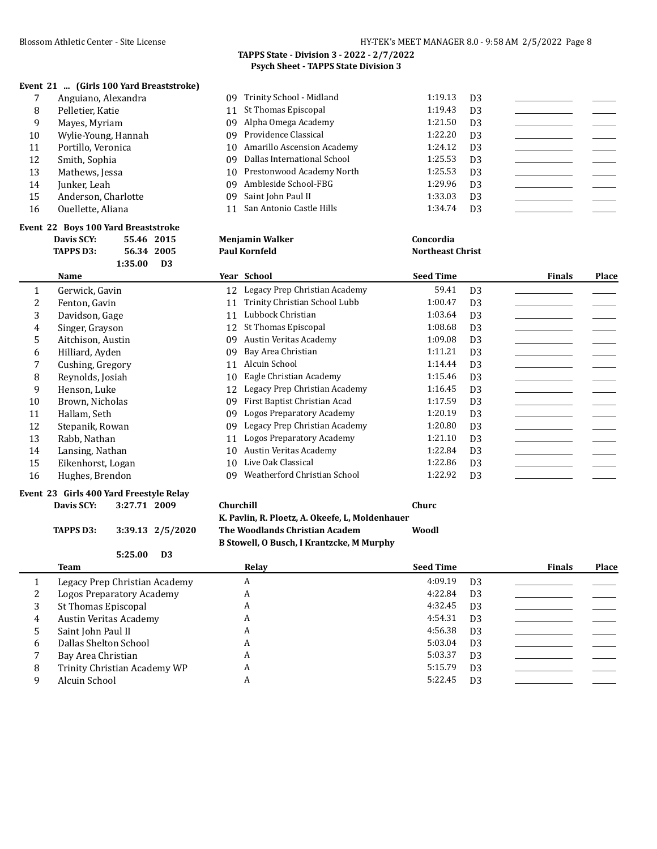#### **Event 21 ... (Girls 100 Yard Breaststroke)**

|    | Anguiano, Alexandra | 09 Trinity School - Midland    | 1:19.13 | D3             |  |
|----|---------------------|--------------------------------|---------|----------------|--|
| 8  | Pelletier, Katie    | 11 St Thomas Episcopal         | 1:19.43 | D <sub>3</sub> |  |
| 9  | Mayes, Myriam       | 09 Alpha Omega Academy         | 1:21.50 | D <sub>3</sub> |  |
| 10 | Wylie-Young, Hannah | 09 Providence Classical        | 1:22.20 | D <sub>3</sub> |  |
| 11 | Portillo, Veronica  | 10 Amarillo Ascension Academy  | 1:24.12 | D <sub>3</sub> |  |
| 12 | Smith, Sophia       | 09 Dallas International School | 1:25.53 | D <sub>3</sub> |  |
| 13 | Mathews, Jessa      | 10 Prestonwood Academy North   | 1:25.53 | D <sub>3</sub> |  |
| 14 | Junker. Leah        | 09 Ambleside School-FBG        | 1:29.96 | D <sub>3</sub> |  |
| 15 | Anderson, Charlotte | 09 Saint John Paul II          | 1:33.03 | D <sub>3</sub> |  |
| 16 | Ouellette, Aliana   | 11 San Antonio Castle Hills    | 1:34.74 | D <sub>3</sub> |  |
|    |                     |                                |         |                |  |

|    | Event 22 Boys 100 Yard Breaststroke     |                                     |                           |                        |
|----|-----------------------------------------|-------------------------------------|---------------------------|------------------------|
|    | Davis SCY:<br>55.46 2015                | <b>Menjamin Walker</b>              | Concordia                 |                        |
|    | 56.34 2005<br><b>TAPPS D3:</b>          | <b>Paul Kornfeld</b>                | <b>Northeast Christ</b>   |                        |
|    | 1:35.00<br>D <sub>3</sub>               |                                     |                           |                        |
|    | <b>Name</b>                             | Year School                         | <b>Seed Time</b>          | <b>Finals</b><br>Place |
| 1  | Gerwick, Gavin                          | Legacy Prep Christian Academy<br>12 | 59.41<br>D <sub>3</sub>   |                        |
| 2  | Fenton, Gavin                           | Trinity Christian School Lubb<br>11 | 1:00.47<br>D <sub>3</sub> |                        |
| 3  | Davidson, Gage                          | Lubbock Christian<br>11             | 1:03.64<br>D <sub>3</sub> |                        |
| 4  | Singer, Grayson                         | St Thomas Episcopal<br>12           | 1:08.68<br>D <sub>3</sub> |                        |
| 5  | Aitchison, Austin                       | Austin Veritas Academy<br>09        | 1:09.08<br>D <sub>3</sub> |                        |
| 6  | Hilliard, Ayden                         | Bay Area Christian<br>09            | 1:11.21<br>D <sub>3</sub> |                        |
| 7  | Cushing, Gregory                        | Alcuin School<br>11                 | 1:14.44<br>D <sub>3</sub> |                        |
| 8  | Reynolds, Josiah                        | Eagle Christian Academy<br>10       | 1:15.46<br>D <sub>3</sub> |                        |
| 9  | Henson, Luke                            | Legacy Prep Christian Academy<br>12 | 1:16.45<br>D <sub>3</sub> |                        |
| 10 | Brown, Nicholas                         | First Baptist Christian Acad<br>09  | 1:17.59<br>D <sub>3</sub> |                        |
| 11 | Hallam, Seth                            | Logos Preparatory Academy<br>09     | 1:20.19<br>D <sub>3</sub> |                        |
| 12 | Stepanik, Rowan                         | Legacy Prep Christian Academy<br>09 | 1:20.80<br>D <sub>3</sub> |                        |
| 13 | Rabb, Nathan                            | Logos Preparatory Academy<br>11     | 1:21.10<br>D <sub>3</sub> |                        |
| 14 | Lansing, Nathan                         | Austin Veritas Academy<br>10        | 1:22.84<br>D <sub>3</sub> |                        |
| 15 | Eikenhorst, Logan                       | Live Oak Classical<br>10            | 1:22.86<br>D <sub>3</sub> |                        |
| 16 | Hughes, Brendon                         | Weatherford Christian School<br>09  | 1:22.92<br>D <sub>3</sub> |                        |
|    | Event 23 Girls 400 Yard Freestyle Relay |                                     |                           |                        |
|    | Davis SCY:<br>3:27.71 2009              | Churchill                           | Churc                     |                        |

**TAPPS D3: 3:39.13 2/5/2020 The Woodlands Christian Academ Woodl**

**B Stowell, O Busch, I Krantzcke, M Murphy**

**K. Pavlin, R. Ploetz, A. Okeefe, L, Moldenhauer**

|   | D <sub>3</sub><br>5:25.00     |       |                  |                |               |              |
|---|-------------------------------|-------|------------------|----------------|---------------|--------------|
|   | Team                          | Relay | <b>Seed Time</b> |                | <b>Finals</b> | <b>Place</b> |
|   | Legacy Prep Christian Academy | A     | 4:09.19          | D <sub>3</sub> |               |              |
|   | Logos Preparatory Academy     | A     | 4:22.84          | D <sub>3</sub> |               |              |
| 3 | St Thomas Episcopal           | A     | 4:32.45          | D <sub>3</sub> |               |              |
| 4 | Austin Veritas Academy        | A     | 4:54.31          | D <sub>3</sub> |               |              |
|   | Saint John Paul II            | A     | 4:56.38          | D <sub>3</sub> |               |              |
| 6 | Dallas Shelton School         | A     | 5:03.04          | D <sub>3</sub> |               |              |
|   | Bay Area Christian            | A     | 5:03.37          | D <sub>3</sub> |               |              |
| 8 | Trinity Christian Academy WP  | A     | 5:15.79          | D <sub>3</sub> |               |              |
|   | Alcuin School                 | A     | 5:22.45          | D <sub>3</sub> |               |              |